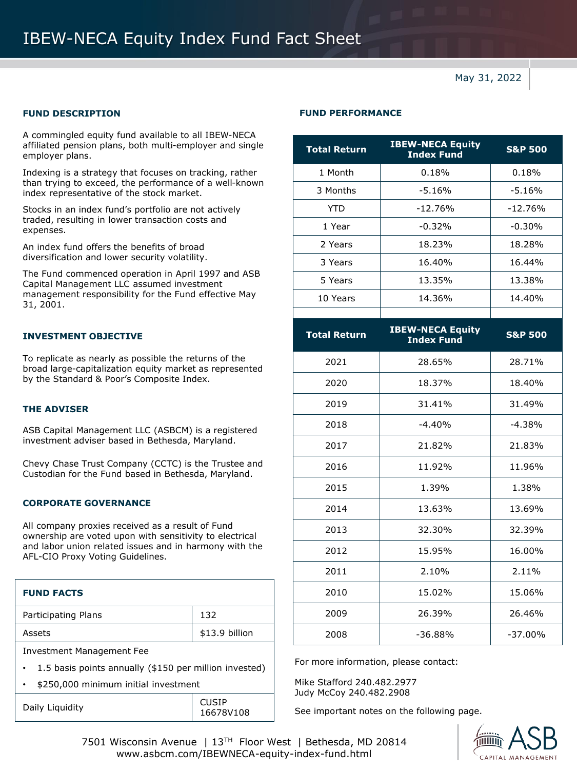# IBEW-NECA Equity Index Fund Fact Sheet

May 31, 2022

A commingled equity fund available to all IBEW-NECA affiliated pension plans, both multi-employer and single employer plans.

Indexing is a strategy that focuses on tracking, rather than trying to exceed, the performance of a well-known index representative of the stock market.

Stocks in an index fund's portfolio are not actively traded, resulting in lower transaction costs and expenses.

An index fund offers the benefits of broad diversification and lower security volatility.

The Fund commenced operation in April 1997 and ASB Capital Management LLC assumed investment management responsibility for the Fund effective May 31, 2001.

### **INVESTMENT OBJECTIVE**

To replicate as nearly as possible the returns of the broad large-capitalization equity market as represented by the Standard & Poor's Composite Index.

# **THE ADVISER**

ASB Capital Management LLC (ASBCM) is a registered investment adviser based in Bethesda, Maryland.

Chevy Chase Trust Company (CCTC) is the Trustee and Custodian for the Fund based in Bethesda, Maryland.

## **CORPORATE GOVERNANCE**

All company proxies received as a result of Fund ownership are voted upon with sensitivity to electrical and labor union related issues and in harmony with the AFL-CIO Proxy Voting Guidelines.

| <b>FUND FACTS</b>                                      |                |  |
|--------------------------------------------------------|----------------|--|
| Participating Plans                                    | 132            |  |
| Assets                                                 | \$13.9 billion |  |
| Investment Management Fee                              |                |  |
| 1.5 basis points annually (\$150 per million invested) |                |  |
| \$250,000 minimum initial investment                   |                |  |

#### **FUND DESCRIPTION FUND PERFORMANCE**

| <b>Total Return</b> | <b>IBEW-NECA Equity</b><br><b>Index Fund</b> | <b>S&amp;P 500</b> |  |
|---------------------|----------------------------------------------|--------------------|--|
| 1 Month             | 0.18%                                        | 0.18%              |  |
| 3 Months            | $-5.16%$                                     | $-5.16%$           |  |
| YTD                 | $-12.76%$                                    | $-12.76%$          |  |
| 1 Year              | $-0.32%$                                     | $-0.30%$           |  |
| 2 Years             | 18.23%                                       | 18.28%             |  |
| 3 Years             | 16.40%                                       | 16.44%             |  |
| 5 Years             | 13.35%                                       | 13.38%             |  |
| 10 Years            | 14.36%                                       | 14.40%             |  |
|                     |                                              |                    |  |
| TREW-NECA Fauity    |                                              |                    |  |

| <b>Total Return</b> | <b>IBEW-NECA Equity</b><br><b>Index Fund</b> | <b>S&amp;P 500</b> |
|---------------------|----------------------------------------------|--------------------|
| 2021                | 28.65%                                       | 28.71%             |
| 2020                | 18.37%                                       | 18.40%             |
| 2019                | 31.41%                                       | 31.49%             |
| 2018                | $-4.40%$                                     | $-4.38%$           |
| 2017                | 21.82%                                       | 21.83%             |
| 2016                | 11.92%                                       | 11.96%             |
| 2015                | 1.39%                                        | 1.38%              |
| 2014                | 13.63%                                       | 13.69%             |
| 2013                | 32.30%                                       | 32.39%             |
| 2012                | 15.95%                                       | 16.00%             |
| 2011                | 2.10%                                        | 2.11%              |
| 2010                | 15.02%                                       | 15.06%             |
| 2009                | 26.39%                                       | 26.46%             |
| 2008                | $-36.88%$                                    | $-37.00\%$         |

For more information, please contact:

Mike Stafford 240.482.2977 Judy McCoy 240.482.2908

See important notes on the following page.



7501 Wisconsin Avenue | 13TH Floor West | Bethesda, MD 20814 www.asbcm.com/IBEWNECA-equity-index-fund.html